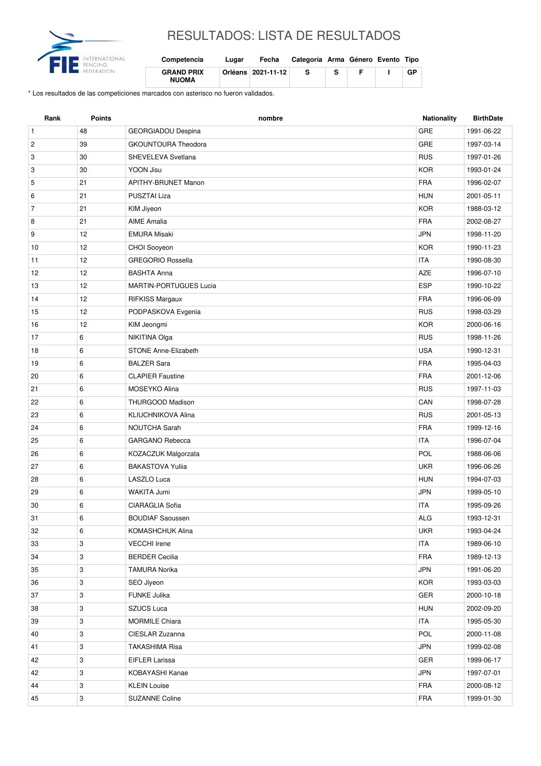

## RESULTADOS: LISTA DE RESULTADOS

| Competencia                       | Lugar | Fecha                | Categoría Arma Género Evento Tipo |    |  |    |
|-----------------------------------|-------|----------------------|-----------------------------------|----|--|----|
| <b>GRAND PRIX</b><br><b>NUOMA</b> |       | Orléans   2021-11-12 | s                                 | -S |  | GР |

\* Los resultados de las competiciones marcados con asterisco no fueron validados.

| Rank           | <b>Points</b> | nombre                        | <b>Nationality</b> | <b>BirthDate</b> |
|----------------|---------------|-------------------------------|--------------------|------------------|
| $\mathbf{1}$   | 48            | GEORGIADOU Despina            | GRE                | 1991-06-22       |
| $\overline{c}$ | 39            | <b>GKOUNTOURA Theodora</b>    | GRE                | 1997-03-14       |
| 3              | 30            | SHEVELEVA Svetlana            | <b>RUS</b>         | 1997-01-26       |
| 3              | 30            | YOON Jisu                     | <b>KOR</b>         | 1993-01-24       |
| 5              | 21            | <b>APITHY-BRUNET Manon</b>    | <b>FRA</b>         | 1996-02-07       |
| 6              | 21            | <b>PUSZTAI Liza</b>           | <b>HUN</b>         | 2001-05-11       |
| 7              | 21            | KIM Jiyeon                    | <b>KOR</b>         | 1988-03-12       |
| 8              | 21            | <b>AIME Amalia</b>            | <b>FRA</b>         | 2002-08-27       |
| 9              | 12            | <b>EMURA Misaki</b>           | <b>JPN</b>         | 1998-11-20       |
| 10             | 12            | CHOI Sooyeon                  | <b>KOR</b>         | 1990-11-23       |
| 11             | 12            | <b>GREGORIO Rossella</b>      | <b>ITA</b>         | 1990-08-30       |
| 12             | 12            | <b>BASHTA Anna</b>            | AZE                | 1996-07-10       |
| 13             | 12            | <b>MARTIN-PORTUGUES Lucia</b> | <b>ESP</b>         | 1990-10-22       |
| 14             | 12            | <b>RIFKISS Margaux</b>        | <b>FRA</b>         | 1996-06-09       |
| 15             | 12            | PODPASKOVA Evgenia            | <b>RUS</b>         | 1998-03-29       |
| 16             | 12            | KIM Jeongmi                   | <b>KOR</b>         | 2000-06-16       |
| 17             | 6             | NIKITINA Olga                 | <b>RUS</b>         | 1998-11-26       |
| 18             | 6             | <b>STONE Anne-Elizabeth</b>   | <b>USA</b>         | 1990-12-31       |
| 19             | 6             | <b>BALZER Sara</b>            | <b>FRA</b>         | 1995-04-03       |
| 20             | 6             | <b>CLAPIER Faustine</b>       | <b>FRA</b>         | 2001-12-06       |
| 21             | 6             | MOSEYKO Alina                 | <b>RUS</b>         | 1997-11-03       |
| 22             | 6             | THURGOOD Madison              | CAN                | 1998-07-28       |
| 23             | 6             | <b>KLIUCHNIKOVA Alina</b>     | <b>RUS</b>         | 2001-05-13       |
| 24             | 6             | NOUTCHA Sarah                 | <b>FRA</b>         | 1999-12-16       |
| 25             | 6             | <b>GARGANO Rebecca</b>        | <b>ITA</b>         | 1996-07-04       |
| 26             | 6             | KOZACZUK Malgorzata           | POL                | 1988-06-06       |
| 27             | 6             | <b>BAKASTOVA Yulija</b>       | <b>UKR</b>         | 1996-06-26       |
| 28             | 6             | LASZLO Luca                   | <b>HUN</b>         | 1994-07-03       |
| 29             | 6             | WAKITA Jumi                   | <b>JPN</b>         | 1999-05-10       |
| 30             | 6             | CIARAGLIA Sofia               | <b>ITA</b>         | 1995-09-26       |
| 31             | 6             | <b>BOUDIAF Saoussen</b>       | $\mathsf{ALG}$     | 1993-12-31       |
| 32             | 6             | <b>KOMASHCHUK Alina</b>       | <b>UKR</b>         | 1993-04-24       |
| 33             | 3             | <b>VECCHI</b> Irene           | <b>ITA</b>         | 1989-06-10       |
| 34             | 3             | <b>BERDER Cecilia</b>         | FRA                | 1989-12-13       |
| 35             | 3             | <b>TAMURA Norika</b>          | <b>JPN</b>         | 1991-06-20       |
| 36             | 3             | SEO Jiyeon                    | <b>KOR</b>         | 1993-03-03       |
| 37             | 3             | <b>FUNKE Julika</b>           | GER                | 2000-10-18       |
| 38             | 3             | <b>SZUCS Luca</b>             | <b>HUN</b>         | 2002-09-20       |
| 39             | 3             | <b>MORMILE Chiara</b>         | <b>ITA</b>         | 1995-05-30       |
| 40             | 3             | CIESLAR Zuzanna               | POL                | 2000-11-08       |
| 41             | 3             | <b>TAKASHIMA Risa</b>         | <b>JPN</b>         | 1999-02-08       |
| 42             | 3             | EIFLER Larissa                | GER                | 1999-06-17       |
| 42             | 3             | KOBAYASHI Kanae               | JPN                | 1997-07-01       |
| 44             | 3             | <b>KLEIN Louise</b>           | <b>FRA</b>         | 2000-08-12       |
| 45             | 3             | <b>SUZANNE Coline</b>         | <b>FRA</b>         | 1999-01-30       |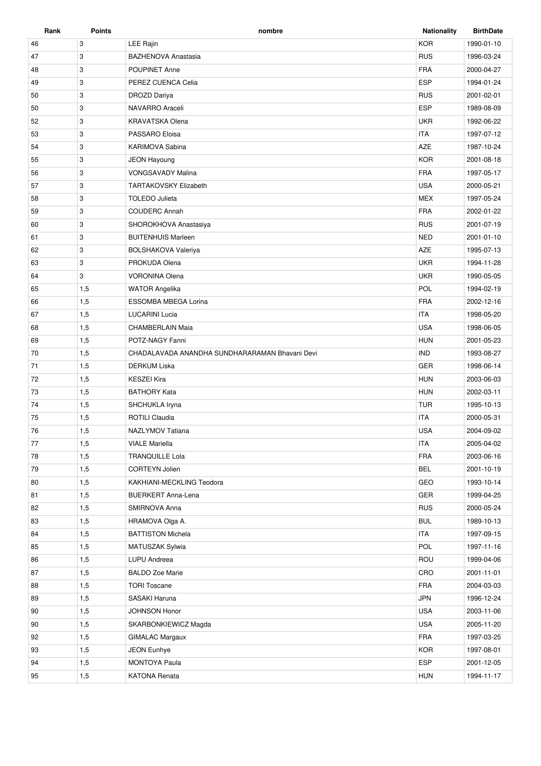| Rank | Points | nombre                                         | <b>Nationality</b> | <b>BirthDate</b> |
|------|--------|------------------------------------------------|--------------------|------------------|
| 46   | 3      | <b>LEE Rajin</b>                               | <b>KOR</b>         | 1990-01-10       |
| 47   | 3      | <b>BAZHENOVA Anastasia</b>                     | <b>RUS</b>         | 1996-03-24       |
| 48   | 3      | <b>POUPINET Anne</b>                           | <b>FRA</b>         | 2000-04-27       |
| 49   | 3      | PEREZ CUENCA Celia                             | <b>ESP</b>         | 1994-01-24       |
| 50   | 3      | DROZD Dariya                                   | <b>RUS</b>         | 2001-02-01       |
| 50   | 3      | NAVARRO Araceli                                | <b>ESP</b>         | 1989-08-09       |
| 52   | 3      | <b>KRAVATSKA Olena</b>                         | <b>UKR</b>         | 1992-06-22       |
| 53   | 3      | PASSARO Eloisa                                 | <b>ITA</b>         | 1997-07-12       |
| 54   | 3      | KARIMOVA Sabina                                | <b>AZE</b>         | 1987-10-24       |
| 55   | 3      | <b>JEON Hayoung</b>                            | <b>KOR</b>         | 2001-08-18       |
| 56   | 3      | <b>VONGSAVADY Malina</b>                       | <b>FRA</b>         | 1997-05-17       |
| 57   | 3      | <b>TARTAKOVSKY Elizabeth</b>                   | <b>USA</b>         | 2000-05-21       |
| 58   | 3      | <b>TOLEDO Julieta</b>                          | <b>MEX</b>         | 1997-05-24       |
| 59   | 3      | <b>COUDERC Annah</b>                           | <b>FRA</b>         | 2002-01-22       |
| 60   | 3      | SHOROKHOVA Anastasiya                          | <b>RUS</b>         | 2001-07-19       |
| 61   | 3      | <b>BUITENHUIS Marleen</b>                      | <b>NED</b>         | 2001-01-10       |
| 62   | 3      | <b>BOLSHAKOVA Valeriya</b>                     | <b>AZE</b>         | 1995-07-13       |
| 63   | 3      | PROKUDA Olena                                  | <b>UKR</b>         | 1994-11-28       |
| 64   | 3      | <b>VORONINA Olena</b>                          | <b>UKR</b>         | 1990-05-05       |
| 65   | 1,5    | <b>WATOR Angelika</b>                          | <b>POL</b>         | 1994-02-19       |
| 66   | 1,5    | ESSOMBA MBEGA Lorina                           | <b>FRA</b>         | 2002-12-16       |
| 67   | 1,5    | <b>LUCARINI Lucia</b>                          | <b>ITA</b>         | 1998-05-20       |
| 68   | 1,5    | <b>CHAMBERLAIN Maia</b>                        | <b>USA</b>         | 1998-06-05       |
| 69   | 1,5    | POTZ-NAGY Fanni                                | <b>HUN</b>         | 2001-05-23       |
| 70   | 1,5    | CHADALAVADA ANANDHA SUNDHARARAMAN Bhavani Devi | <b>IND</b>         | 1993-08-27       |
| 71   | 1,5    | DERKUM Liska                                   | <b>GER</b>         | 1998-06-14       |
| 72   | 1,5    | <b>KESZEI Kira</b>                             | <b>HUN</b>         | 2003-06-03       |
| 73   | 1,5    | <b>BATHORY Kata</b>                            | <b>HUN</b>         | 2002-03-11       |
| 74   | 1,5    | SHCHUKLA Iryna                                 | <b>TUR</b>         | 1995-10-13       |
| 75   | 1,5    | <b>ROTILI Claudia</b>                          | <b>ITA</b>         | 2000-05-31       |
| 76   | 1,5    | <b>NAZLYMOV Tatiana</b>                        | <b>USA</b>         | 2004-09-02       |
| 77   | 1,5    | <b>VIALE Mariella</b>                          | <b>ITA</b>         | 2005-04-02       |
| 78   | 1,5    | <b>TRANQUILLE Lola</b>                         | <b>FRA</b>         | 2003-06-16       |
| 79   | 1,5    | CORTEYN Jolien                                 | <b>BEL</b>         | 2001-10-19       |
| 80   | 1,5    | KAKHIANI-MECKLING Teodora                      | GEO                | 1993-10-14       |
| 81   | 1,5    | <b>BUERKERT Anna-Lena</b>                      | GER                | 1999-04-25       |
| 82   | 1,5    | SMIRNOVA Anna                                  | <b>RUS</b>         | 2000-05-24       |
| 83   | 1,5    | HRAMOVA Olga A.                                | <b>BUL</b>         | 1989-10-13       |
| 84   | 1,5    | <b>BATTISTON Michela</b>                       | <b>ITA</b>         | 1997-09-15       |
| 85   | 1,5    | MATUSZAK Sylwia                                | POL                | 1997-11-16       |
| 86   | 1,5    | LUPU Andreea                                   | ROU                | 1999-04-06       |
| 87   | 1,5    | <b>BALDO Zoe Marie</b>                         | CRO                | 2001-11-01       |
| 88   | 1,5    | <b>TORI Toscane</b>                            | <b>FRA</b>         | 2004-03-03       |
| 89   | 1,5    | SASAKI Haruna                                  | <b>JPN</b>         | 1996-12-24       |
| 90   | 1,5    | JOHNSON Honor                                  | <b>USA</b>         | 2003-11-06       |
| 90   | 1,5    | SKARBONKIEWICZ Magda                           | <b>USA</b>         | 2005-11-20       |
| 92   | 1,5    | <b>GIMALAC Margaux</b>                         | <b>FRA</b>         | 1997-03-25       |
| 93   | 1,5    | <b>JEON Eunhye</b>                             | <b>KOR</b>         | 1997-08-01       |
| 94   | 1,5    | <b>MONTOYA Paula</b>                           | ESP                | 2001-12-05       |
| 95   | 1,5    | KATONA Renata                                  | <b>HUN</b>         | 1994-11-17       |
|      |        |                                                |                    |                  |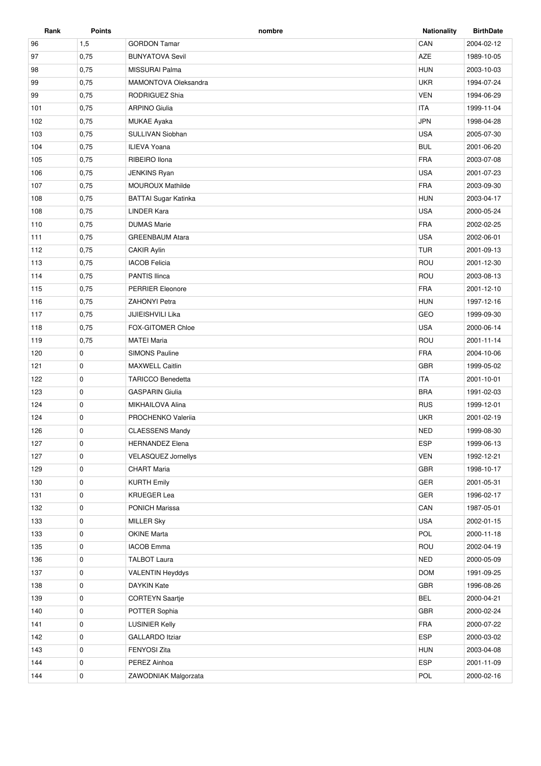| Rank | <b>Points</b> | nombre                      | <b>Nationality</b> | <b>BirthDate</b> |
|------|---------------|-----------------------------|--------------------|------------------|
| 96   | 1,5           | <b>GORDON Tamar</b>         | CAN                | 2004-02-12       |
| 97   | 0,75          | <b>BUNYATOVA Sevil</b>      | AZE                | 1989-10-05       |
| 98   | 0,75          | MISSURAI Palma              | <b>HUN</b>         | 2003-10-03       |
| 99   | 0,75          | <b>MAMONTOVA Oleksandra</b> | <b>UKR</b>         | 1994-07-24       |
| 99   | 0,75          | RODRIGUEZ Shia              | <b>VEN</b>         | 1994-06-29       |
| 101  | 0,75          | <b>ARPINO Giulia</b>        | <b>ITA</b>         | 1999-11-04       |
| 102  | 0,75          | <b>MUKAE Ayaka</b>          | <b>JPN</b>         | 1998-04-28       |
| 103  | 0,75          | SULLIVAN Siobhan            | <b>USA</b>         | 2005-07-30       |
| 104  | 0,75          | <b>ILIEVA Yoana</b>         | <b>BUL</b>         | 2001-06-20       |
| 105  | 0,75          | RIBEIRO Ilona               | <b>FRA</b>         | 2003-07-08       |
| 106  | 0,75          | <b>JENKINS Ryan</b>         | <b>USA</b>         | 2001-07-23       |
| 107  | 0,75          | MOUROUX Mathilde            | <b>FRA</b>         | 2003-09-30       |
| 108  | 0,75          | <b>BATTAI Sugar Katinka</b> | <b>HUN</b>         | 2003-04-17       |
| 108  | 0,75          | <b>LINDER Kara</b>          | <b>USA</b>         | 2000-05-24       |
| 110  | 0,75          | <b>DUMAS Marie</b>          | <b>FRA</b>         | 2002-02-25       |
| 111  | 0,75          | <b>GREENBAUM Atara</b>      | <b>USA</b>         | 2002-06-01       |
| 112  | 0,75          | <b>CAKIR Aylin</b>          | <b>TUR</b>         | 2001-09-13       |
| 113  | 0,75          | <b>IACOB Felicia</b>        | ROU                | 2001-12-30       |
| 114  | 0,75          | <b>PANTIS Ilinca</b>        | ROU                | 2003-08-13       |
| 115  | 0,75          | <b>PERRIER Eleonore</b>     | <b>FRA</b>         | 2001-12-10       |
| 116  | 0,75          | <b>ZAHONYI Petra</b>        | <b>HUN</b>         | 1997-12-16       |
| 117  | 0,75          | JIJIEISHVILI Lika           | GEO                | 1999-09-30       |
| 118  | 0,75          | <b>FOX-GITOMER Chloe</b>    | <b>USA</b>         | 2000-06-14       |
| 119  | 0,75          | <b>MATEI Maria</b>          | ROU                | 2001-11-14       |
| 120  | 0             | <b>SIMONS Pauline</b>       | <b>FRA</b>         | 2004-10-06       |
| 121  | 0             | <b>MAXWELL Caitlin</b>      | <b>GBR</b>         | 1999-05-02       |
| 122  | 0             | <b>TARICCO Benedetta</b>    | <b>ITA</b>         | 2001-10-01       |
| 123  | 0             | <b>GASPARIN Giulia</b>      | <b>BRA</b>         | 1991-02-03       |
| 124  | 0             | MIKHAILOVA Alina            | <b>RUS</b>         | 1999-12-01       |
| 124  | 0             | PROCHENKO Valeriia          | <b>UKR</b>         | 2001-02-19       |
| 126  | $\mathbf 0$   | <b>CLAESSENS Mandy</b>      | <b>NED</b>         | 1999-08-30       |
| 127  | 0             | <b>HERNANDEZ Elena</b>      | <b>ESP</b>         | 1999-06-13       |
| 127  | 0             | <b>VELASQUEZ Jornellys</b>  | <b>VEN</b>         | 1992-12-21       |
| 129  | 0             | <b>CHART Maria</b>          | GBR                | 1998-10-17       |
| 130  | 0             | <b>KURTH Emily</b>          | GER                | 2001-05-31       |
| 131  | 0             | <b>KRUEGER Lea</b>          | GER                | 1996-02-17       |
| 132  | 0             | PONICH Marissa              | CAN                | 1987-05-01       |
| 133  | 0             | <b>MILLER Sky</b>           | <b>USA</b>         | 2002-01-15       |
| 133  | 0             | <b>OKINE Marta</b>          | POL                | 2000-11-18       |
| 135  | 0             | <b>IACOB Emma</b>           | ROU                | 2002-04-19       |
| 136  | 0             | <b>TALBOT Laura</b>         | <b>NED</b>         | 2000-05-09       |
| 137  | 0             | <b>VALENTIN Heyddys</b>     | <b>DOM</b>         | 1991-09-25       |
| 138  | 0             | DAYKIN Kate                 | GBR                | 1996-08-26       |
| 139  | 0             | <b>CORTEYN Saartje</b>      | <b>BEL</b>         | 2000-04-21       |
| 140  | 0             | POTTER Sophia               | GBR                | 2000-02-24       |
| 141  | 0             | <b>LUSINIER Kelly</b>       | FRA                | 2000-07-22       |
| 142  | 0             | <b>GALLARDO Itziar</b>      | <b>ESP</b>         | 2000-03-02       |
| 143  | 0             | FENYOSI Zita                | <b>HUN</b>         | 2003-04-08       |
| 144  | 0             | PEREZ Ainhoa                | ESP                | 2001-11-09       |
| 144  | $\pmb{0}$     | ZAWODNIAK Malgorzata        | POL                | 2000-02-16       |
|      |               |                             |                    |                  |